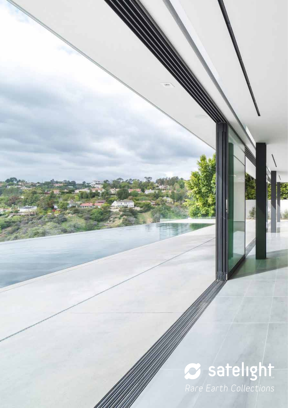# *Rare Earth Collections*

**Gravers**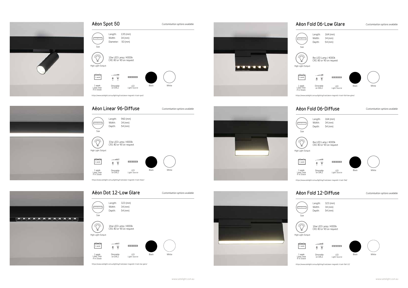| Aëon Spot 50                       |                                                  |                                                                       |       | Customisation options available |  |
|------------------------------------|--------------------------------------------------|-----------------------------------------------------------------------|-------|---------------------------------|--|
| ,,,,,,,,<br>Size                   | Length:<br>Width:<br>Diameter:                   | $135$ (mm)<br>$34$ (mm)<br>$50$ (mm)                                  |       |                                 |  |
| 117<br>High Light Output           | 10w LED Lamp / 4000k<br>CRI: 80 or 90 on request |                                                                       |       |                                 |  |
| 1 week                             | Ţ<br>Ĥ                                           | 000000                                                                |       |                                 |  |
| 1 week<br>Lead Time<br>if in Stock | Dimmable<br>on DALI                              | I FD<br>Light Source                                                  | Black | White                           |  |
|                                    |                                                  | https://www.satelight.com.au/lighting/track/aeon-magnetic-track-spot/ |       |                                 |  |



# Aëon Dot 12-Low Glare

### **Length: 323 (mm) Width: 34 (mm) Program Depth: 54 (mm) Size**  $\sum_{i=1}^{n}$ **16w LED Lamp / 4000k CRI: 80 or 90 on request High Light Output**  $\sim$  -  $\sim$  10  $\rm H$  $000000$ **1 week**  $\frac{1}{\pi} \frac{1}{\pi}$ **Black White 1 week Lead Time if in Stock Dimmable on DALI LED Light Source**

*Customisation options available*

*https://www.satelight.com.au/lighting/track/aeon-magnetic-track-low-glare/*





## Aëon Fold 06-Low Glare



*Customisation options available*

| Aëon Linear 96-Diffuse                                                                         | Customisation options available |
|------------------------------------------------------------------------------------------------|---------------------------------|
| $960$ (mm)<br>Length:<br>Width:<br>$34$ (mm)<br><b>PERSONAL</b><br>Depth:<br>$54$ (mm)<br>Size |                                 |
| WIZ<br>33w LED Lamp / 4000k<br>CRI: 80 or 90 on request<br>High Light Output                   |                                 |
| $-1$<br><b>Control</b><br>0000000<br>誉<br>1 week<br>$\frac{1}{11}$                             |                                 |
| 1 week<br>Lead Time<br>if in Stock<br>LED<br>Dimmable<br>Light Source<br>on DALI               | Black<br>White                  |
| https://www.satelight.com.au/lighting/track/aeon-magnetic-track-linear/                        |                                 |







| . <del>.</del><br>Size             | Length:<br>Width:<br>Depth: | 164 (mm)<br>34 (mm)<br>54 (mm)                                                  |       |                                 |
|------------------------------------|-----------------------------|---------------------------------------------------------------------------------|-------|---------------------------------|
| High Light Output                  |                             | 8w LED Lamp / 4000k<br>CRI: 80 or 90 on request                                 |       |                                 |
| ս ս<br>1 week                      | ----                        |                                                                                 |       |                                 |
| 1 week<br>Lead Time<br>if in Stock | Dimmable<br>on DALI         | LED<br>Light Source                                                             | Black | White                           |
|                                    |                             | https://www.satelight.com.au/lighting/track/aeon-magnetic-track-fold-low-glare/ |       |                                 |
|                                    |                             | Aëon Fold 06-Diffuse                                                            |       | Customisation options available |
| Size                               | Length:<br>Width:<br>Depth: | 164 (mm)<br>$34$ (mm)<br>54 (mm)                                                |       |                                 |
| High Light Output                  |                             | 8w LED Lamp / 4000k<br>CRI: 80 or 90 on request                                 |       |                                 |
| 1 week                             |                             | [0101010]                                                                       |       |                                 |
| 1 week<br>Lead Time<br>if in Stock | Dimmable<br>on DALI         | LED<br>Light Source                                                             | Black | White                           |
|                                    |                             | https://www.satelight.com.au/lighting/track/aeon-magnetic-track-fold/           |       |                                 |
|                                    |                             | Aëon Fold 12-Diffuse                                                            |       | Customisation options available |
| <b>TELEVISION</b><br>Size          | Length:<br>Width:<br>Depth: | 323 (mm)<br>$34$ (mm)<br>54 (mm)                                                |       |                                 |
| $\mathbf{1}$<br>High Light Output  |                             | 16w LED Lamp / 4000k<br>CRI: 80 or 90 on request                                |       |                                 |
| 1 week                             |                             | [0101010]                                                                       |       |                                 |







*https://www.satelight.com.au/lighting/track/aeon-magnetic-track-fold-12/*

**LED Light Source**

**Black White**





**1 week Lead Time if in Stock**

**Dimmable on DALI**